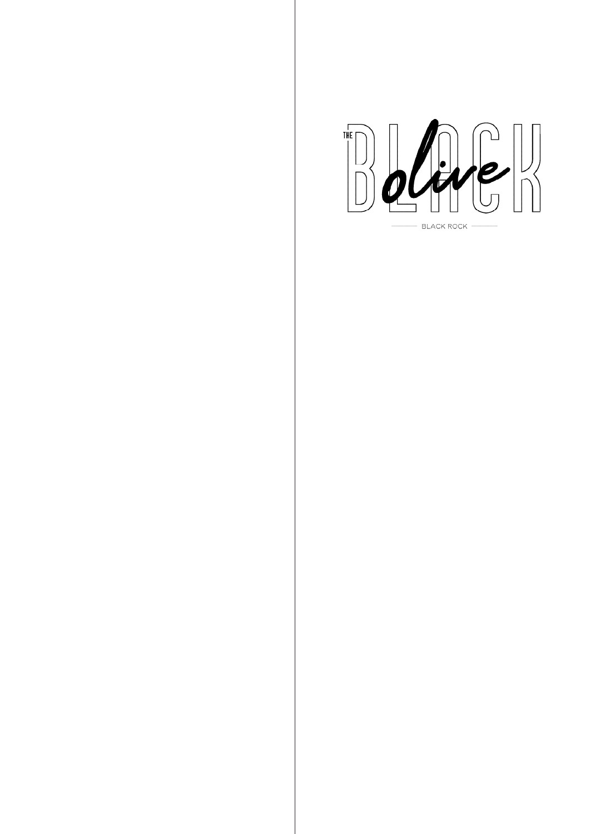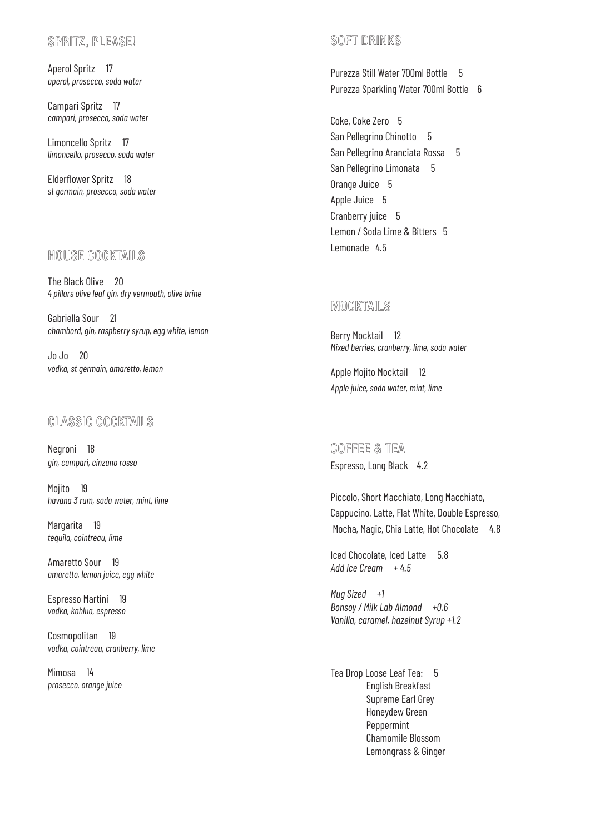#### **SPRITZ, PLEASE!**

Aperol Spritz 17 *aperol, prosecco, soda water*

Campari Spritz 17 *campari, prosecco, soda water*

Limoncello Spritz 17 *limoncello, prosecco, soda water*

Elderflower Spritz 18 *st germain, prosecco, soda water*

## **HOUSE COCKTAILS**

The Black Olive 20 *4 pillars olive leaf gin, dry vermouth, olive brine*

Gabriella Sour 21 *chambord, gin, raspberry syrup, egg white, lemon*

Jo Jo 20 *vodka, st germain, amaretto, lemon*

#### **CLASSIC COCKTAILS**

Negroni 18 *gin, campari, cinzano rosso*

Mojito 19 *havana 3 rum, soda water, mint, lime*

Margarita 19 *tequila, cointreau, lime*

Amaretto Sour 19 *amaretto, lemon juice, egg white*

Espresso Martini 19 *vodka, kahlua, espresso*

Cosmopolitan 19 *vodka, cointreau, cranberry, lime*

Mimosa 14 *prosecco, orange juice*

# **SOFT DRINKS**

Purezza Still Water 700ml Bottle 5 Purezza Sparkling Water 700ml Bottle 6

Coke, Coke Zero 5 San Pellegrino Chinotto 5 San Pellegrino Aranciata Rossa 5 San Pellegrino Limonata 5 Orange Juice 5 Apple Juice 5 Cranberry juice 5 Lemon / Soda Lime & Bitters 5 Lemonade 4.5

#### **MOCKTAILS**

Berry Mocktail 12 *Mixed berries, cranberry, lime, soda water*

Apple Mojito Mocktail 12 *Apple juice, soda water, mint, lime*

**COFFEE & TEA** Espresso, Long Black 4.2

Piccolo, Short Macchiato, Long Macchiato, Cappucino, Latte, Flat White, Double Espresso, Mocha, Magic, Chia Latte, Hot Chocolate 4.8

Iced Chocolate, Iced Latte 5.8 *Add Ice Cream + 4.5*

*Mug Sized +1 Bonsoy / Milk Lab Almond +0.6 Vanilla, caramel, hazelnut Syrup +1.2*

Tea Drop Loose Leaf Tea: 5 English Breakfast Supreme Earl Grey Honeydew Green Peppermint Chamomile Blossom Lemongrass & Ginger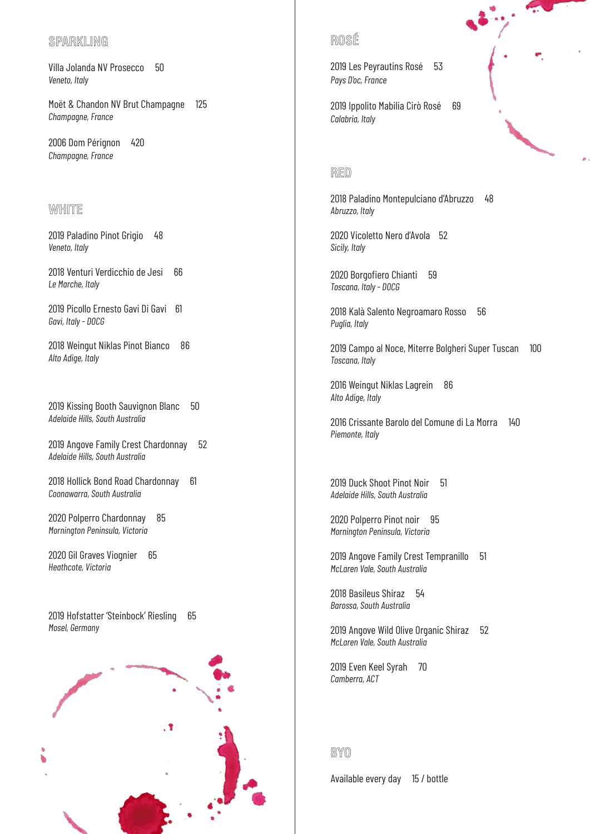#### **SPARKLING**

Villa Jolanda NV Prosecco 50 *Veneto, Italy*

Moët & Chandon NV Brut Champagne 125 *Champagne, France*

2006 Dom Pérignon 420 *Champagne, France*

#### **WHITE**

2019 Paladino Pinot Grigio 48 *Veneto, Italy*

2018 Venturi Verdicchio de Jesi 66 *Le Marche, Italy*

2019 Picollo Ernesto Gavi Di Gavi 61 *Gavi, Italy - DOCG*

2018 Weingut Niklas Pinot Bianco 86 *Alto Adige, Italy*

2019 Kissing Booth Sauvignon Blanc 50 *Adelaide Hills, South Australia*

2019 Angove Family Crest Chardonnay 52 *Adelaide Hills, South Australia*

2018 Hollick Bond Road Chardonnay 61 *Coonawarra, South Australia*

2020 Polperro Chardonnay 85 *Mornington Peninsula, Victoria*

2020 Gil Graves Viognier 65 *Heathcote, Victoria*

2019 Hofstatter 'Steinbock' Riesling 65 *Mosel, Germany*



# **ROSÉ**

2019 Les Peyrautins Rosé 53 *Pays D'oc, France*

2019 Ippolito Mabilia Cirò Rosé 69 *Calabria, Italy*

#### **RED**

2018 Paladino Montepulciano d'Abruzzo 48 *Abruzzo, Italy*

2020 Vicoletto Nero d'Avola 52 *Sicily, Italy* 

2020 Borgofiero Chianti 59 *Toscana, Italy - DOCG*

2018 Kalà Salento Negroamaro Rosso 56 *Puglia, Italy*

2019 Campo al Noce, Miterre Bolgheri Super Tuscan 100 *Toscana, Italy*

2016 Weingut Niklas Lagrein 86 *Alto Adige, Italy*

2016 Crissante Barolo del Comune di La Morra 140 *Piemonte, Italy*

2019 Duck Shoot Pinot Noir 51 *Adelaide Hills, South Australia*

2020 Polperro Pinot noir 95 *Mornington Peninsula, Victoria*

2019 Angove Family Crest Tempranillo 51 *McLaren Vale, South Australia*

2018 Basileus Shiraz 54 *Barossa, South Australia*

2019 Angove Wild Olive Organic Shiraz 52 *McLaren Vale, South Australia*

2019 Even Keel Syrah 70 *Camberra, ACT*

**BYO**

Available every day 15 / bottle